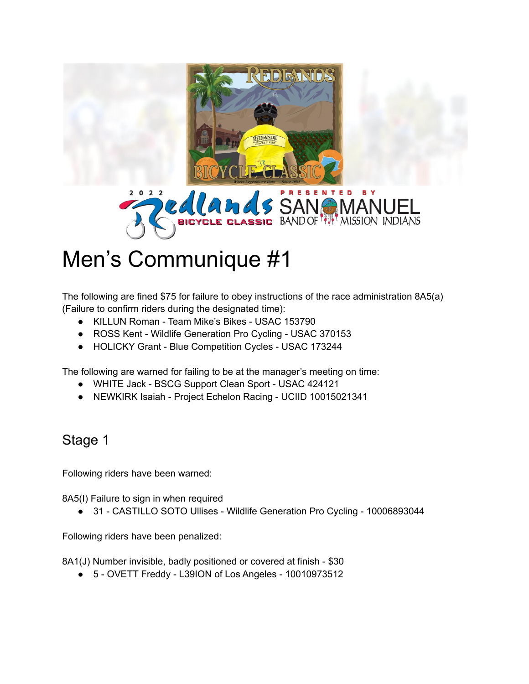



## Men's Communique #1

The following are fined \$75 for failure to obey instructions of the race administration 8A5(a) (Failure to confirm riders during the designated time):

- KILLUN Roman Team Mike's Bikes USAC 153790
- ROSS Kent Wildlife Generation Pro Cycling USAC 370153
- HOLICKY Grant Blue Competition Cycles USAC 173244

The following are warned for failing to be at the manager's meeting on time:

- WHITE Jack BSCG Support Clean Sport USAC 424121
- NEWKIRK Isaiah Project Echelon Racing UCIID 10015021341

## Stage 1

Following riders have been warned:

8A5(I) Failure to sign in when required

● 31 - CASTILLO SOTO Ullises - Wildlife Generation Pro Cycling - 10006893044

Following riders have been penalized:

8A1(J) Number invisible, badly positioned or covered at finish - \$30

● 5 - OVETT Freddy - L39ION of Los Angeles - 10010973512